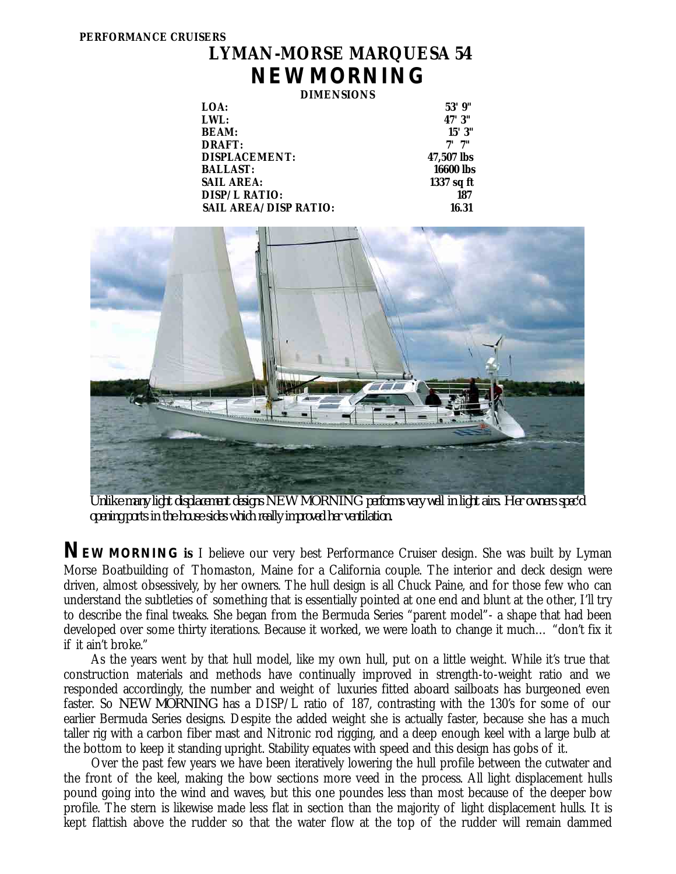## **LYMAN-MORSE MARQUESA 54** *NEW MORNING*

**DIMENSIONS**

| LOA:                         | 53'9''     |
|------------------------------|------------|
| LWL:                         | 47' 3"     |
| <b>BEAM:</b>                 | 15'3''     |
| <b>DRAFT:</b>                | "7 יי      |
| <b>DISPLACEMENT:</b>         | 47,507 lbs |
| <b>BALLAST:</b>              | 16600 lbs  |
| <b>SAIL AREA:</b>            | 1337 sq ft |
| <b>DISP/L RATIO:</b>         | 187        |
| <b>SAIL AREA/DISP RATIO:</b> | 16.31      |
|                              |            |



*Unlike many light displacement designs NEW MORNING performs very well in light airs. Her owners spec'd opening ports in the house sides which really improved her ventilation.*

**NEW MORNING** is I believe our very best Performance Cruiser design. She was built by Lyman Morse Boatbuilding of Thomaston, Maine for a California couple. The interior and deck design were driven, almost obsessively, by her owners. The hull design is all Chuck Paine, and for those few who can understand the subtleties of something that is essentially pointed at one end and blunt at the other, I'll try to describe the final tweaks. She began from the Bermuda Series "parent model"- a shape that had been developed over some thirty iterations. Because it worked, we were loath to change it much… "don't fix it if it ain't broke."

 As the years went by that hull model, like my own hull, put on a little weight. While it's true that construction materials and methods have continually improved in strength-to-weight ratio and we responded accordingly, the number and weight of luxuries fitted aboard sailboats has burgeoned even faster. So *NEW MORNING* has a DISP/L ratio of 187, contrasting with the 130's for some of our earlier Bermuda Series designs. Despite the added weight she is actually faster, because she has a much taller rig with a carbon fiber mast and Nitronic rod rigging, and a deep enough keel with a large bulb at the bottom to keep it standing upright. Stability equates with speed and this design has gobs of it.

 Over the past few years we have been iteratively lowering the hull profile between the cutwater and the front of the keel, making the bow sections more veed in the process. All light displacement hulls pound going into the wind and waves, but this one poundes less than most because of the deeper bow profile. The stern is likewise made less flat in section than the majority of light displacement hulls. It is kept flattish above the rudder so that the water flow at the top of the rudder will remain dammed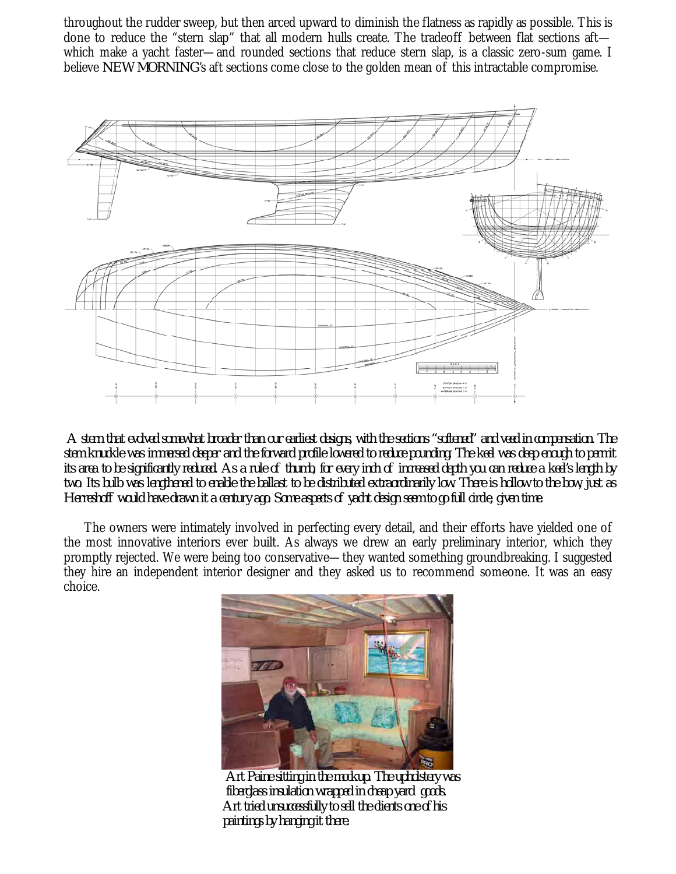throughout the rudder sweep, but then arced upward to diminish the flatness as rapidly as possible. This is done to reduce the "stern slap" that all modern hulls create. The tradeoff between flat sections aftwhich make a yacht faster—and rounded sections that reduce stern slap, is a classic zero-sum game. I believe *NEW MORNING*'s aft sections come close to the golden mean of this intractable compromise.



*A stern that evolved somewhat broader than our earliest designs, with the sections "softened" and veed in compensation. The stem knuckle was immersed deeper and the forward profile lowered to reduce pounding. The keel was deep enough to permit its area to be significantly reduced. As a rule of thumb, for every inch of increased depth you can reduce a keel's length by two. Its bulb was lengthened to enable the ballast to be distributed extraordinarily low. There is hollow to the bow, just as Herreshoff would have drawn it a century ago. Some aspects of yacht design seem to go full circle, given time.*

 The owners were intimately involved in perfecting every detail, and their efforts have yielded one of the most innovative interiors ever built. As always we drew an early preliminary interior, which they promptly rejected. We were being too conservative—they wanted something groundbreaking. I suggested they hire an independent interior designer and they asked us to recommend someone. It was an easy choice.



 *Art Paine sitting in the mockup. The upholstery was fiberglass insulation wrapped in cheap yard goods. Art tried unsuccessfully to sell the clients one of his paintings by hanging it there.*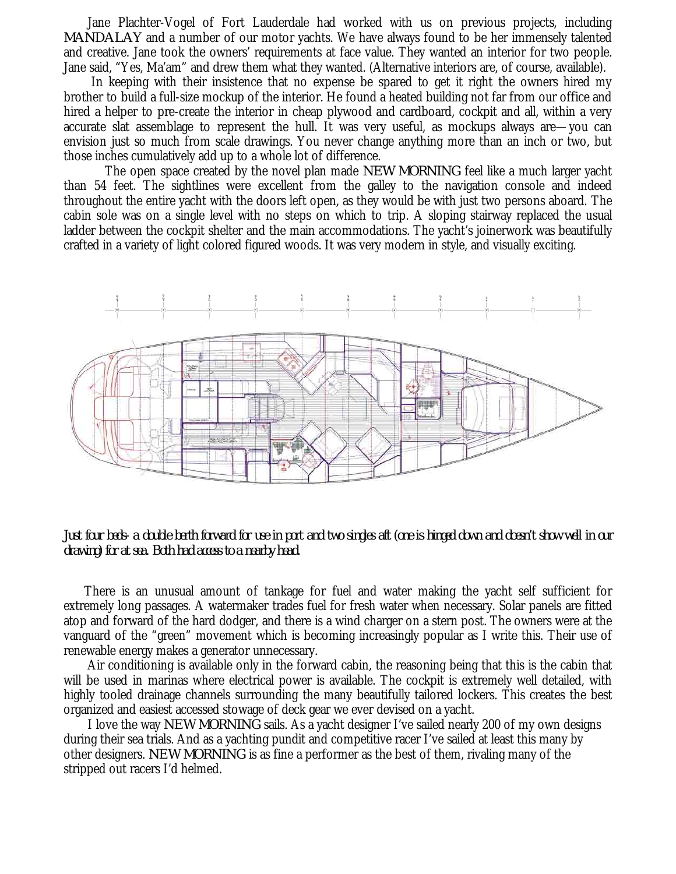Jane Plachter-Vogel of Fort Lauderdale had worked with us on previous projects, including *MANDALAY* and a number of our motor yachts. We have always found to be her immensely talented and creative. Jane took the owners' requirements at face value. They wanted an interior for two people. Jane said, "Yes, Ma'am" and drew them what they wanted. (Alternative interiors are, of course, available).

 In keeping with their insistence that no expense be spared to get it right the owners hired my brother to build a full-size mockup of the interior. He found a heated building not far from our office and hired a helper to pre-create the interior in cheap plywood and cardboard, cockpit and all, within a very accurate slat assemblage to represent the hull. It was very useful, as mockups always are—you can envision just so much from scale drawings. You never change anything more than an inch or two, but those inches cumulatively add up to a whole lot of difference.

 The open space created by the novel plan made *NEW MORNING* feel like a much larger yacht than 54 feet. The sightlines were excellent from the galley to the navigation console and indeed throughout the entire yacht with the doors left open, as they would be with just two persons aboard. The cabin sole was on a single level with no steps on which to trip. A sloping stairway replaced the usual ladder between the cockpit shelter and the main accommodations. The yacht's joinerwork was beautifully crafted in a variety of light colored figured woods. It was very modern in style, and visually exciting.



*Just four beds- a double berth forward for use in port and two singles aft (one is hinged down and doesn't show well in our drawing) for at sea. Both had access to a nearby head.*

 There is an unusual amount of tankage for fuel and water making the yacht self sufficient for extremely long passages. A watermaker trades fuel for fresh water when necessary. Solar panels are fitted atop and forward of the hard dodger, and there is a wind charger on a stern post. The owners were at the vanguard of the "green" movement which is becoming increasingly popular as I write this. Their use of renewable energy makes a generator unnecessary.

 Air conditioning is available only in the forward cabin, the reasoning being that this is the cabin that will be used in marinas where electrical power is available. The cockpit is extremely well detailed, with highly tooled drainage channels surrounding the many beautifully tailored lockers. This creates the best organized and easiest accessed stowage of deck gear we ever devised on a yacht.

 I love the way *NEW MORNING* sails. As a yacht designer I've sailed nearly 200 of my own designs during their sea trials. And as a yachting pundit and competitive racer I've sailed at least this many by other designers. *NEW MORNING* is as fine a performer as the best of them, rivaling many of the stripped out racers I'd helmed.